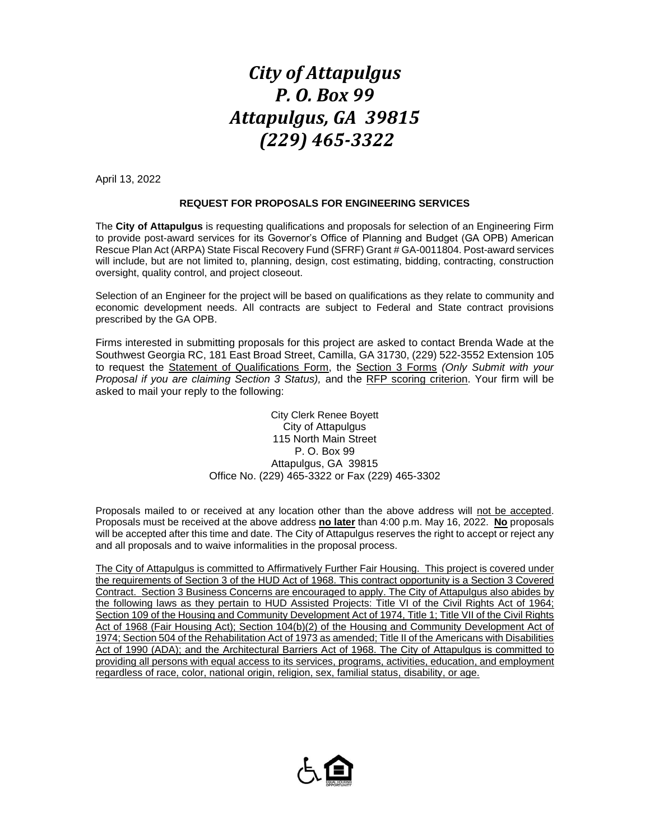## *City of Attapulgus P. O. Box 99 Attapulgus, GA 39815 (229) 465-3322*

April 13, 2022

## **REQUEST FOR PROPOSALS FOR ENGINEERING SERVICES**

The **City of Attapulgus** is requesting qualifications and proposals for selection of an Engineering Firm to provide post-award services for its Governor's Office of Planning and Budget (GA OPB) American Rescue Plan Act (ARPA) State Fiscal Recovery Fund (SFRF) Grant # GA-0011804. Post-award services will include, but are not limited to, planning, design, cost estimating, bidding, contracting, construction oversight, quality control, and project closeout.

Selection of an Engineer for the project will be based on qualifications as they relate to community and economic development needs. All contracts are subject to Federal and State contract provisions prescribed by the GA OPB.

Firms interested in submitting proposals for this project are asked to contact Brenda Wade at the Southwest Georgia RC, 181 East Broad Street, Camilla, GA 31730, (229) 522-3552 Extension 105 to request the Statement of Qualifications Form, the Section 3 Forms *(Only Submit with your Proposal if you are claiming Section 3 Status),* and the RFP scoring criterion. Your firm will be asked to mail your reply to the following:

> City Clerk Renee Boyett City of Attapulgus 115 North Main Street P. O. Box 99 Attapulgus, GA 39815 Office No. (229) 465-3322 or Fax (229) 465-3302

Proposals mailed to or received at any location other than the above address will not be accepted. Proposals must be received at the above address **no later** than 4:00 p.m. May 16, 2022. **No** proposals will be accepted after this time and date. The City of Attapulgus reserves the right to accept or reject any and all proposals and to waive informalities in the proposal process.

The City of Attapulgus is committed to Affirmatively Further Fair Housing. This project is covered under the requirements of Section 3 of the HUD Act of 1968. This contract opportunity is a Section 3 Covered Contract. Section 3 Business Concerns are encouraged to apply. The City of Attapulgus also abides by the following laws as they pertain to HUD Assisted Projects: Title VI of the Civil Rights Act of 1964; Section 109 of the Housing and Community Development Act of 1974, Title 1; Title VII of the Civil Rights Act of 1968 (Fair Housing Act); Section 104(b)(2) of the Housing and Community Development Act of 1974; Section 504 of the Rehabilitation Act of 1973 as amended; Title II of the Americans with Disabilities Act of 1990 (ADA); and the Architectural Barriers Act of 1968. The City of Attapulgus is committed to providing all persons with equal access to its services, programs, activities, education, and employment regardless of race, color, national origin, religion, sex, familial status, disability, or age.